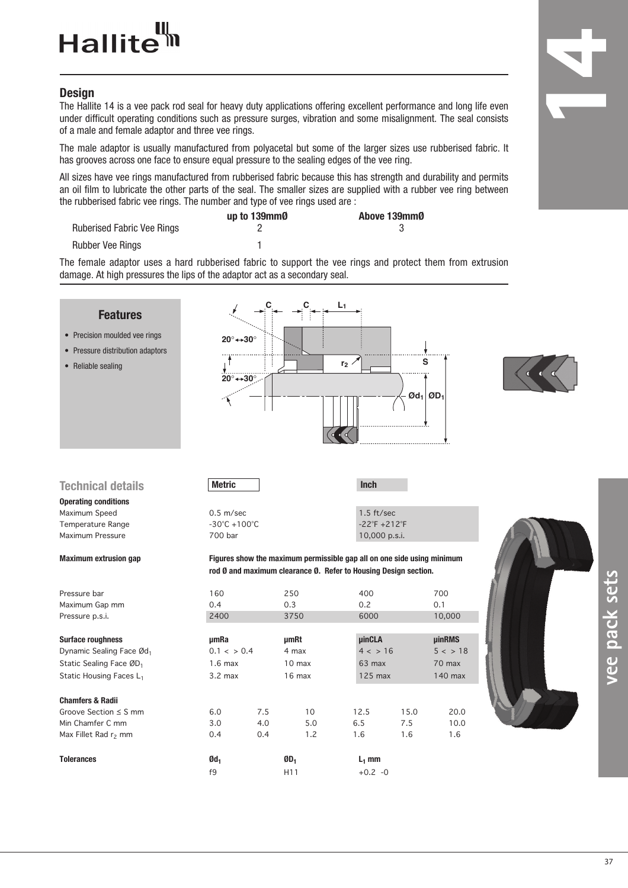## Hallite<sup>tt</sup>

## **Design**

The Hallite 14 is a vee pack rod seal for heavy duty applications offering excellent performance and long life even under difficult operating conditions such as pressure surges, vibration and some misalignment. The seal consists of a male and female adaptor and three vee rings.

The male adaptor is usually manufactured from polyacetal but some of the larger sizes use rubberised fabric. It has grooves across one face to ensure equal pressure to the sealing edges of the vee ring.

All sizes have vee rings manufactured from rubberised fabric because this has strength and durability and permits an oil film to lubricate the other parts of the seal. The smaller sizes are supplied with a rubber vee ring between the rubberised fabric vee rings. The number and type of vee rings used are :

|                                   | up to 139mm0 | Above 139mm0 |  |  |
|-----------------------------------|--------------|--------------|--|--|
| <b>Ruberised Fabric Vee Rings</b> |              |              |  |  |
| Rubber Vee Rings                  |              |              |  |  |

The female adaptor uses a hard rubberised fabric to support the vee rings and protect them from extrusion damage. At high pressures the lips of the adaptor act as a secondary seal.

| <b>Features</b><br>• Precision moulded vee rings<br>• Pressure distribution adaptors<br>• Reliable sealing             | $20^\circ \rightarrow 30^\circ$<br>$20^\circ \rightarrow 30^\circ$ |     |                                                                                                                                                         | L <sub>1</sub><br>$r_2$                       |      | S<br>$\mathfrak{O}d_1$ $\mathfrak{O}D_1$     |  |
|------------------------------------------------------------------------------------------------------------------------|--------------------------------------------------------------------|-----|---------------------------------------------------------------------------------------------------------------------------------------------------------|-----------------------------------------------|------|----------------------------------------------|--|
| <b>Technical details</b>                                                                                               | <b>Metric</b>                                                      |     |                                                                                                                                                         | <b>Inch</b>                                   |      |                                              |  |
| <b>Operating conditions</b>                                                                                            |                                                                    |     |                                                                                                                                                         |                                               |      |                                              |  |
| Maximum Speed<br>Temperature Range                                                                                     | 0.5 m/sec<br>$-30^{\circ}$ C +100 $^{\circ}$ C                     |     |                                                                                                                                                         | $1.5$ ft/sec<br>$-22^{\circ}F + 212^{\circ}F$ |      |                                              |  |
| Maximum Pressure                                                                                                       | 700 bar                                                            |     |                                                                                                                                                         | 10,000 p.s.i.                                 |      |                                              |  |
| <b>Maximum extrusion gap</b><br>Pressure bar<br>Maximum Gap mm                                                         | 160<br>0.4                                                         |     | Figures show the maximum permissible gap all on one side using minimum<br>rod Ø and maximum clearance Ø. Refer to Housing Design section.<br>250<br>0.3 | 400<br>0.2                                    |      | 700<br>0.1                                   |  |
| Pressure p.s.i.                                                                                                        | 2400                                                               |     | 3750                                                                                                                                                    | 6000                                          |      | 10,000                                       |  |
| <b>Surface roughness</b><br>Dynamic Sealing Face Ød1<br>Static Sealing Face ØD <sub>1</sub><br>Static Housing Faces L1 | umRa<br>$0.1 < \frac{1}{2}$ 0.4<br>$1.6$ max<br>$3.2$ max          |     | <b>µmRt</b><br>4 max<br>10 <sub>max</sub><br>$16$ max                                                                                                   | <b>µinCLA</b><br>4 < 16<br>63 max<br>125 max  |      | <b>µinRMS</b><br>5 < 18<br>70 max<br>140 max |  |
| <b>Chamfers &amp; Radii</b>                                                                                            |                                                                    |     |                                                                                                                                                         |                                               |      |                                              |  |
| Groove Section $\leq$ S mm                                                                                             | 6.0                                                                | 7.5 | 10                                                                                                                                                      | 12.5                                          | 15.0 | 20.0                                         |  |
| Min Chamfer C mm                                                                                                       | 3.0                                                                | 4.0 | 5.0                                                                                                                                                     | 6.5                                           | 7.5  | 10.0                                         |  |
| Max Fillet Rad r <sub>2</sub> mm                                                                                       | 0.4                                                                | 0.4 | 1.2                                                                                                                                                     | 1.6                                           | 1.6  | 1.6                                          |  |
| <b>Tolerances</b>                                                                                                      | $Qd_1$                                                             |     | $ØD_1$                                                                                                                                                  | $L_1$ mm                                      |      |                                              |  |
|                                                                                                                        | f9                                                                 |     | H <sub>11</sub>                                                                                                                                         | $+0.2 -0$                                     |      |                                              |  |